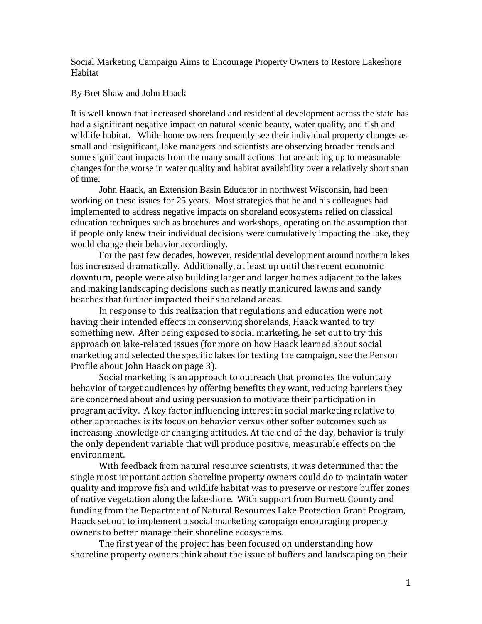Social Marketing Campaign Aims to Encourage Property Owners to Restore Lakeshore Habitat

By Bret Shaw and John Haack

It is well known that increased shoreland and residential development across the state has had a significant negative impact on natural scenic beauty, water quality, and fish and wildlife habitat. While home owners frequently see their individual property changes as small and insignificant, lake managers and scientists are observing broader trends and some significant impacts from the many small actions that are adding up to measurable changes for the worse in water quality and habitat availability over a relatively short span of time.

John Haack, an Extension Basin Educator in northwest Wisconsin, had been working on these issues for 25 years. Most strategies that he and his colleagues had implemented to address negative impacts on shoreland ecosystems relied on classical education techniques such as brochures and workshops, operating on the assumption that if people only knew their individual decisions were cumulatively impacting the lake, they would change their behavior accordingly.

For the past few decades, however, residential development around northern lakes has increased dramatically. Additionally, at least up until the recent economic downturn, people were also building larger and larger homes adjacent to the lakes and making landscaping decisions such as neatly manicured lawns and sandy beaches that further impacted their shoreland areas.

In response to this realization that regulations and education were not having their intended effects in conserving shorelands, Haack wanted to try something new. After being exposed to social marketing, he set out to try this approach on lake-related issues (for more on how Haack learned about social marketing and selected the specific lakes for testing the campaign, see the Person Profile about John Haack on page 3).

Social marketing is an approach to outreach that promotes the voluntary behavior of target audiences by offering benefits they want, reducing barriers they are concerned about and using persuasion to motivate their participation in program activity. A key factor influencing interest in social marketing relative to other approaches is its focus on behavior versus other softer outcomes such as increasing knowledge or changing attitudes. At the end of the day, behavior is truly the only dependent variable that will produce positive, measurable effects on the environment.

With feedback from natural resource scientists, it was determined that the single most important action shoreline property owners could do to maintain water quality and improve fish and wildlife habitat was to preserve or restore buffer zones of native vegetation along the lakeshore. With support from Burnett County and funding from the Department of Natural Resources Lake Protection Grant Program, Haack set out to implement a social marketing campaign encouraging property owners to better manage their shoreline ecosystems.

The first year of the project has been focused on understanding how shoreline property owners think about the issue of buffers and landscaping on their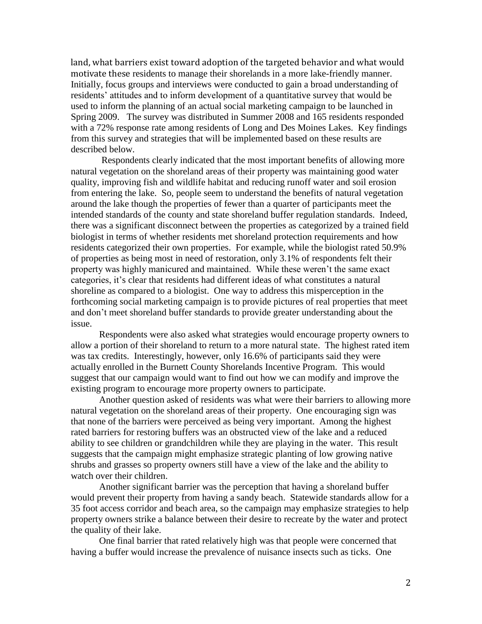land, what barriers exist toward adoption of the targeted behavior and what would motivate these residents to manage their shorelands in a more lake-friendly manner. Initially, focus groups and interviews were conducted to gain a broad understanding of residents' attitudes and to inform development of a quantitative survey that would be used to inform the planning of an actual social marketing campaign to be launched in Spring 2009. The survey was distributed in Summer 2008 and 165 residents responded with a 72% response rate among residents of Long and Des Moines Lakes. Key findings from this survey and strategies that will be implemented based on these results are described below.

Respondents clearly indicated that the most important benefits of allowing more natural vegetation on the shoreland areas of their property was maintaining good water quality, improving fish and wildlife habitat and reducing runoff water and soil erosion from entering the lake. So, people seem to understand the benefits of natural vegetation around the lake though the properties of fewer than a quarter of participants meet the intended standards of the county and state shoreland buffer regulation standards. Indeed, there was a significant disconnect between the properties as categorized by a trained field biologist in terms of whether residents met shoreland protection requirements and how residents categorized their own properties. For example, while the biologist rated 50.9% of properties as being most in need of restoration, only 3.1% of respondents felt their property was highly manicured and maintained. While these weren't the same exact categories, it's clear that residents had different ideas of what constitutes a natural shoreline as compared to a biologist. One way to address this misperception in the forthcoming social marketing campaign is to provide pictures of real properties that meet and don't meet shoreland buffer standards to provide greater understanding about the issue.

Respondents were also asked what strategies would encourage property owners to allow a portion of their shoreland to return to a more natural state. The highest rated item was tax credits. Interestingly, however, only 16.6% of participants said they were actually enrolled in the Burnett County Shorelands Incentive Program. This would suggest that our campaign would want to find out how we can modify and improve the existing program to encourage more property owners to participate.

Another question asked of residents was what were their barriers to allowing more natural vegetation on the shoreland areas of their property. One encouraging sign was that none of the barriers were perceived as being very important. Among the highest rated barriers for restoring buffers was an obstructed view of the lake and a reduced ability to see children or grandchildren while they are playing in the water. This result suggests that the campaign might emphasize strategic planting of low growing native shrubs and grasses so property owners still have a view of the lake and the ability to watch over their children.

Another significant barrier was the perception that having a shoreland buffer would prevent their property from having a sandy beach. Statewide standards allow for a 35 foot access corridor and beach area, so the campaign may emphasize strategies to help property owners strike a balance between their desire to recreate by the water and protect the quality of their lake.

One final barrier that rated relatively high was that people were concerned that having a buffer would increase the prevalence of nuisance insects such as ticks. One